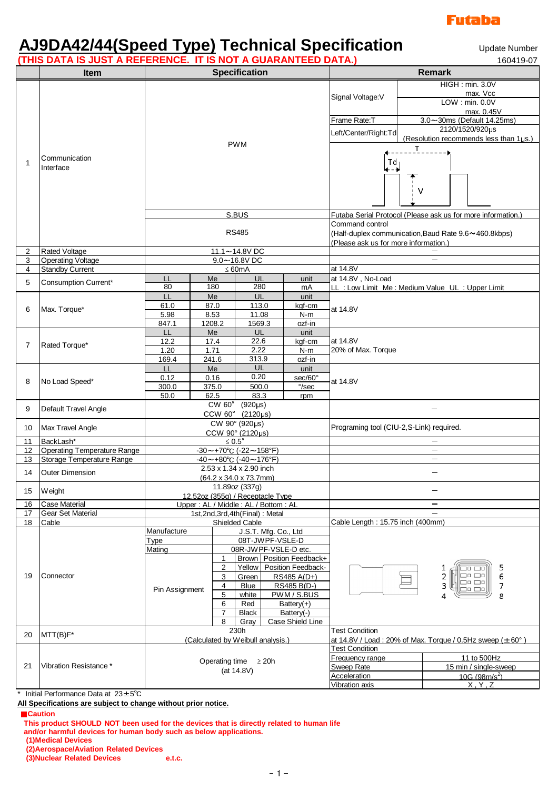

# **AJ9DA42/44(Speed Type) Technical Specification**

Update Number<br>160419-07

|                   | (THIS DATA IS JUST A REFERENCE. IT IS NOT A GUARANTEED DATA.) |                                                                |                                  |                                              |                                           |                           |                                                                        |                                         | 160419-07                                                    |  |
|-------------------|---------------------------------------------------------------|----------------------------------------------------------------|----------------------------------|----------------------------------------------|-------------------------------------------|---------------------------|------------------------------------------------------------------------|-----------------------------------------|--------------------------------------------------------------|--|
|                   | <b>Item</b>                                                   | <b>Specification</b>                                           |                                  |                                              |                                           |                           |                                                                        | Remark                                  |                                                              |  |
|                   |                                                               | <b>PWM</b>                                                     |                                  |                                              |                                           |                           | Signal Voltage: V                                                      |                                         | HIGH : min. 3.0V<br>max. Vcc                                 |  |
|                   |                                                               |                                                                |                                  |                                              |                                           |                           |                                                                        |                                         | LOW: min. 0.0V                                               |  |
|                   |                                                               |                                                                |                                  |                                              |                                           |                           |                                                                        |                                         | max. 0.45V                                                   |  |
|                   |                                                               |                                                                |                                  |                                              |                                           |                           | Frame Rate:T                                                           |                                         | 3.0~30ms (Default 14.25ms)                                   |  |
|                   |                                                               |                                                                |                                  |                                              |                                           |                           | Left/Center/Right:Td                                                   |                                         | 2120/1520/920µs                                              |  |
|                   |                                                               |                                                                |                                  |                                              |                                           |                           |                                                                        |                                         | (Resolution recommends less than 1µs.)                       |  |
| 1                 |                                                               |                                                                |                                  |                                              |                                           |                           |                                                                        | $\_$ $\_$                               |                                                              |  |
|                   | Communication                                                 |                                                                |                                  |                                              |                                           |                           | Td                                                                     |                                         |                                                              |  |
|                   | Interface                                                     |                                                                |                                  |                                              |                                           |                           | ∔ – ≱                                                                  |                                         |                                                              |  |
|                   |                                                               |                                                                |                                  |                                              |                                           |                           | ٧                                                                      |                                         |                                                              |  |
|                   |                                                               | S.BUS                                                          |                                  |                                              |                                           |                           |                                                                        |                                         | Futaba Serial Protocol (Please ask us for more information.) |  |
|                   |                                                               |                                                                |                                  |                                              |                                           |                           | Command control                                                        |                                         |                                                              |  |
|                   |                                                               | <b>RS485</b>                                                   |                                  |                                              |                                           |                           |                                                                        |                                         | (Half-duplex communication, Baud Rate 9.6~460.8kbps)         |  |
|                   |                                                               |                                                                |                                  |                                              |                                           |                           | (Please ask us for more information.)                                  |                                         |                                                              |  |
| 2                 | <b>Rated Voltage</b>                                          | 11.1~14.8V DC                                                  |                                  |                                              |                                           |                           |                                                                        |                                         |                                                              |  |
| 3                 | <b>Operating Voltage</b>                                      | $9.0 - 16.8$ VDC                                               |                                  |                                              |                                           |                           |                                                                        |                                         | -                                                            |  |
| 4                 | <b>Standby Current</b>                                        | $\leq 60mA$                                                    |                                  |                                              |                                           |                           | at 14.8V                                                               |                                         |                                                              |  |
|                   | Consumption Current*                                          | LL                                                             | Me                               | UL                                           |                                           | unit                      | at 14.8V, No-Load                                                      |                                         |                                                              |  |
| 5                 |                                                               | 80                                                             | 180                              | 280                                          |                                           | mA                        | LL : Low Limit Me : Medium Value UL : Upper Limit                      |                                         |                                                              |  |
| 6                 | Max. Torque*                                                  | LL                                                             | Me                               | UL                                           |                                           | unit                      |                                                                        |                                         |                                                              |  |
|                   |                                                               | 61.0                                                           | 87.0                             | 113.0                                        |                                           | kgf-cm                    | at 14.8V                                                               |                                         |                                                              |  |
|                   |                                                               | 5.98                                                           | 8.53                             | 11.08                                        |                                           | $N-m$                     |                                                                        |                                         |                                                              |  |
|                   |                                                               | 847.1                                                          | 1208.2                           | 1569.3                                       |                                           | ozf-in                    |                                                                        |                                         |                                                              |  |
| 7                 | Rated Torque*                                                 | LL                                                             | Me                               | UL                                           |                                           | unit                      |                                                                        |                                         |                                                              |  |
|                   |                                                               | 12.2                                                           | 17.4                             | 22.6                                         |                                           | kgf-cm                    |                                                                        | at 14.8V                                |                                                              |  |
|                   |                                                               | 1.20                                                           | 1.71                             | 2.22<br>313.9                                |                                           | N-m                       | 20% of Max. Torque                                                     |                                         |                                                              |  |
|                   |                                                               | 169.4                                                          | 241.6                            | UL                                           |                                           | ozf-in                    |                                                                        |                                         |                                                              |  |
| 8                 | No Load Speed*                                                | LL                                                             | Me                               | 0.20                                         |                                           | unit                      |                                                                        |                                         |                                                              |  |
|                   |                                                               | 0.12<br>300.0                                                  | 0.16<br>375.0                    | 500.0                                        |                                           | sec/60°<br>$\degree$ /sec | at 14.8V                                                               |                                         |                                                              |  |
|                   |                                                               | 50.0                                                           | 62.5                             | 83.3                                         |                                           | rpm                       |                                                                        |                                         |                                                              |  |
|                   |                                                               | $CW$ 60 $\degree$<br>$(920\mu s)$<br>CCW 60° (2120µs)          |                                  |                                              |                                           |                           |                                                                        |                                         |                                                              |  |
| 9                 | Default Travel Angle                                          |                                                                |                                  |                                              |                                           |                           |                                                                        |                                         |                                                              |  |
|                   |                                                               | CW 90° (920µs)                                                 |                                  |                                              |                                           |                           |                                                                        |                                         |                                                              |  |
| 10                | Max Travel Angle                                              | CCW 90° (2120µs)                                               |                                  |                                              |                                           |                           | Programing tool (CIU-2,S-Link) required.                               |                                         |                                                              |  |
| 11                | BackLash*                                                     | $≤$ 0.5 $^{\circ}$                                             |                                  |                                              |                                           |                           |                                                                        |                                         |                                                              |  |
| $12 \overline{ }$ | <b>Operating Temperature Range</b>                            | $-30$ ~+70°C (-22~158°F)                                       |                                  |                                              |                                           |                           |                                                                        |                                         |                                                              |  |
| 13                | Storage Temperature Range                                     | $-40 \sim +80^{\circ}$ C (-40 $\sim$ 176°F)                    |                                  |                                              |                                           |                           | —                                                                      |                                         |                                                              |  |
| 14                | <b>Outer Dimension</b>                                        | 2.53 x 1.34 x 2.90 inch<br>$(64.2 \times 34.0 \times 73.7$ mm) |                                  |                                              |                                           |                           |                                                                        |                                         |                                                              |  |
|                   |                                                               |                                                                |                                  |                                              |                                           |                           |                                                                        |                                         |                                                              |  |
| 15                | Weight                                                        | 11.89oz (337g)                                                 |                                  |                                              |                                           |                           |                                                                        |                                         | —                                                            |  |
|                   |                                                               |                                                                | 12.52oz (355g) / Receptacle Type |                                              |                                           |                           |                                                                        |                                         |                                                              |  |
| 16                | <b>Case Material</b>                                          | Upper: AL / Middle: AL / Bottom: AL                            |                                  |                                              |                                           |                           |                                                                        |                                         | -<br>÷,                                                      |  |
| 17                | <b>Gear Set Material</b>                                      | 1st,2nd,3rd,4th(Final): Metal                                  |                                  |                                              |                                           |                           | Cable Length: 15.75 inch (400mm)                                       |                                         |                                                              |  |
| 18                | Cable                                                         | Shielded Cable<br>Manufacture                                  |                                  |                                              |                                           |                           |                                                                        |                                         |                                                              |  |
| 19                |                                                               | J.S.T. Mfg. Co., Ltd<br>08T-JWPF-VSLE-D                        |                                  |                                              |                                           |                           |                                                                        |                                         |                                                              |  |
|                   |                                                               | Type<br>08R-JWPF-VSLE-D etc.<br>Mating                         |                                  |                                              |                                           |                           |                                                                        |                                         |                                                              |  |
|                   | Connector                                                     |                                                                |                                  | Brown   Position Feedback+<br>1              |                                           |                           |                                                                        |                                         |                                                              |  |
|                   |                                                               |                                                                | $\overline{c}$                   | Yellow   Position Feedback-                  |                                           |                           | 5<br>םכ                                                                |                                         |                                                              |  |
|                   |                                                               |                                                                | 3                                | Green                                        | RS485 A(D+)<br>RS485 B(D-)<br><b>Blue</b> |                           |                                                                        | $\Box$ o $\Box$ o<br>2<br>6             |                                                              |  |
|                   |                                                               |                                                                | $\overline{4}$                   |                                              |                                           |                           |                                                                        | ㅁㅁ ㅁㅁ   <br>3<br>7<br>$\Box$ o $\Box$ o |                                                              |  |
|                   |                                                               | Pin Assignment                                                 | 5                                | PWM / S.BUS<br>white<br>Red<br>Battery $(+)$ |                                           |                           |                                                                        | 4<br>8                                  |                                                              |  |
|                   |                                                               |                                                                | 6                                |                                              |                                           |                           |                                                                        |                                         |                                                              |  |
|                   |                                                               | 7<br><b>Black</b><br>Battery(-)                                |                                  |                                              |                                           |                           |                                                                        |                                         |                                                              |  |
|                   |                                                               | Case Shield Line<br>8<br>Gray                                  |                                  |                                              |                                           |                           |                                                                        |                                         |                                                              |  |
| 20                | $MTT(B)F*$                                                    | 230h                                                           |                                  |                                              |                                           |                           | <b>Test Condition</b>                                                  |                                         |                                                              |  |
|                   |                                                               | (Calculated by Weibull analysis.)                              |                                  |                                              |                                           |                           | at 14.8V / Load: 20% of Max. Torque / 0.5Hz sweep ( $\pm 60^{\circ}$ ) |                                         |                                                              |  |
| 21                |                                                               | Operating time $\geq 20h$<br>(at 14.8V)                        |                                  |                                              |                                           |                           | <b>Test Condition</b>                                                  |                                         |                                                              |  |
|                   | Vibration Resistance*                                         |                                                                |                                  |                                              |                                           |                           | Frequency range                                                        |                                         | 11 to 500Hz                                                  |  |
|                   |                                                               |                                                                |                                  |                                              |                                           |                           | Sweep Rate                                                             |                                         | 15 min / single-sweep                                        |  |
|                   |                                                               |                                                                |                                  |                                              |                                           |                           | Acceleration<br>Vibration axis                                         |                                         | 10G (98m/s <sup>2</sup> )<br>X, Y, Z                         |  |
|                   |                                                               |                                                                |                                  |                                              |                                           |                           |                                                                        |                                         |                                                              |  |

## \* Initial Performance Data at 23±5℃

**All Specifications are subject to change without prior notice.**

#### ■**Caution**

**This product SHOULD NOT been used for the devices that is directly related to human life and/or harmful devices for human body such as below applications.**

**(1)Medical Devices**

**(2)Aerospace/Aviation Related Devices**

**(3)Nuclear Related Devices e.t.c.**